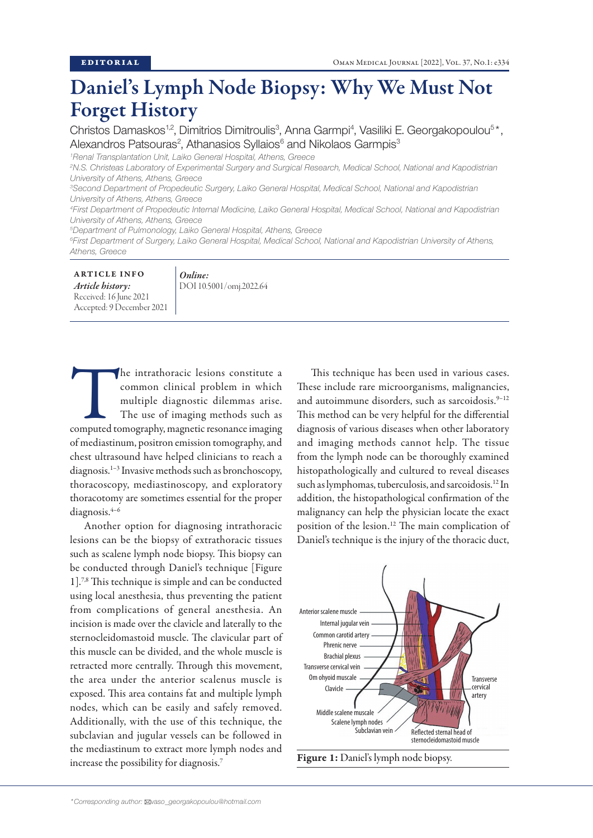## Daniel's Lymph Node Biopsy: Why We Must Not Forget History

Christos Damaskos<sup>1,2</sup>, Dimitrios Dimitroulis<sup>3</sup>, Anna Garmpi<sup>4</sup>, Vasiliki E. Georgakopoulou<sup>5\*</sup>, Alexandros Patsouras<sup>2</sup>, Athanasios Syllaios<sup>6</sup> and Nikolaos Garmpis<sup>3</sup>

*1 Renal Transplantation Unit, Laiko General Hospital, Athens, Greece*

*3 Second Department of Propedeutic Surgery, Laiko General Hospital, Medical School, National and Kapodistrian University of Athens, Athens, Greece*

*4 First Department of Propedeutic Internal Medicine, Laiko General Hospital, Medical School, National and Kapodistrian University of Athens, Athens, Greece*

*5 Department of Pulmonology, Laiko General Hospital, Athens, Greece*

*Online:*

*6 First Department of Surgery, Laiko General Hospital, Medical School, National and Kapodistrian University of Athens, Athens, Greece*

ARTICLE INFO *Article history:* Received: 16 June 2021 Accepted: 9 December 2021

DOI 10.5001/omj.2022.64

The intrathoracic lesions constitute a common clinical problem in which multiple diagnostic dilemmas arise.<br>The use of imaging methods such as computed tomography, magnetic resonance imaging common clinical problem in which multiple diagnostic dilemmas arise. The use of imaging methods such as of mediastinum, positron emission tomography, and chest ultrasound have helped clinicians to reach a diagnosis.1–3 Invasive methods such as bronchoscopy, thoracoscopy, mediastinoscopy, and exploratory thoracotomy are sometimes essential for the proper diagnosis.4–6

Another option for diagnosing intrathoracic lesions can be the biopsy of extrathoracic tissues such as scalene lymph node biopsy. This biopsy can be conducted through Daniel's technique [Figure 1].7,8 This technique is simple and can be conducted using local anesthesia, thus preventing the patient from complications of general anesthesia. An incision is made over the clavicle and laterally to the sternocleidomastoid muscle. The clavicular part of this muscle can be divided, and the whole muscle is retracted more centrally. Through this movement, the area under the anterior scalenus muscle is exposed. This area contains fat and multiple lymph nodes, which can be easily and safely removed. Additionally, with the use of this technique, the subclavian and jugular vessels can be followed in the mediastinum to extract more lymph nodes and increase the possibility for diagnosis.7

This technique has been used in various cases. These include rare microorganisms, malignancies, and autoimmune disorders, such as sarcoidosis.<sup>9-12</sup> This method can be very helpful for the differential diagnosis of various diseases when other laboratory and imaging methods cannot help. The tissue from the lymph node can be thoroughly examined histopathologically and cultured to reveal diseases such as lymphomas, tuberculosis, and sarcoidosis.12 In addition, the histopathological confirmation of the malignancy can help the physician locate the exact position of the lesion.12 The main complication of Daniel's technique is the injury of the thoracic duct,



Figure 1: Daniel's lymph node biopsy.

*<sup>2</sup> N.S. Christeas Laboratory of Experimental Surgery and Surgical Research, Medical School, National and Kapodistrian University of Athens, Athens, Greece*